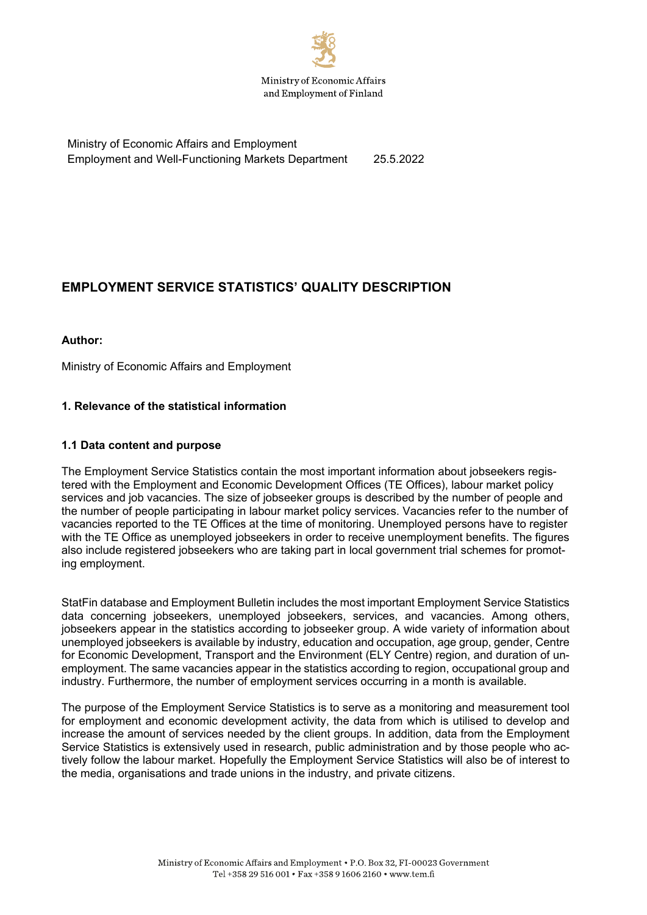

Ministry of Economic Affairs and Employment Employment and Well-Functioning Markets Department 25.5.2022

# **EMPLOYMENT SERVICE STATISTICS' QUALITY DESCRIPTION**

#### **Author:**

Ministry of Economic Affairs and Employment

# **1. Relevance of the statistical information**

#### **1.1 Data content and purpose**

The Employment Service Statistics contain the most important information about jobseekers registered with the Employment and Economic Development Offices (TE Offices), labour market policy services and job vacancies. The size of jobseeker groups is described by the number of people and the number of people participating in labour market policy services. Vacancies refer to the number of vacancies reported to the TE Offices at the time of monitoring. Unemployed persons have to register with the TE Office as unemployed jobseekers in order to receive unemployment benefits. The figures also include registered jobseekers who are taking part in local government trial schemes for promoting employment.

StatFin database and Employment Bulletin includes the most important Employment Service Statistics data concerning jobseekers, unemployed jobseekers, services, and vacancies. Among others, jobseekers appear in the statistics according to jobseeker group. A wide variety of information about unemployed jobseekers is available by industry, education and occupation, age group, gender, Centre for Economic Development, Transport and the Environment (ELY Centre) region, and duration of unemployment. The same vacancies appear in the statistics according to region, occupational group and industry. Furthermore, the number of employment services occurring in a month is available.

The purpose of the Employment Service Statistics is to serve as a monitoring and measurement tool for employment and economic development activity, the data from which is utilised to develop and increase the amount of services needed by the client groups. In addition, data from the Employment Service Statistics is extensively used in research, public administration and by those people who actively follow the labour market. Hopefully the Employment Service Statistics will also be of interest to the media, organisations and trade unions in the industry, and private citizens.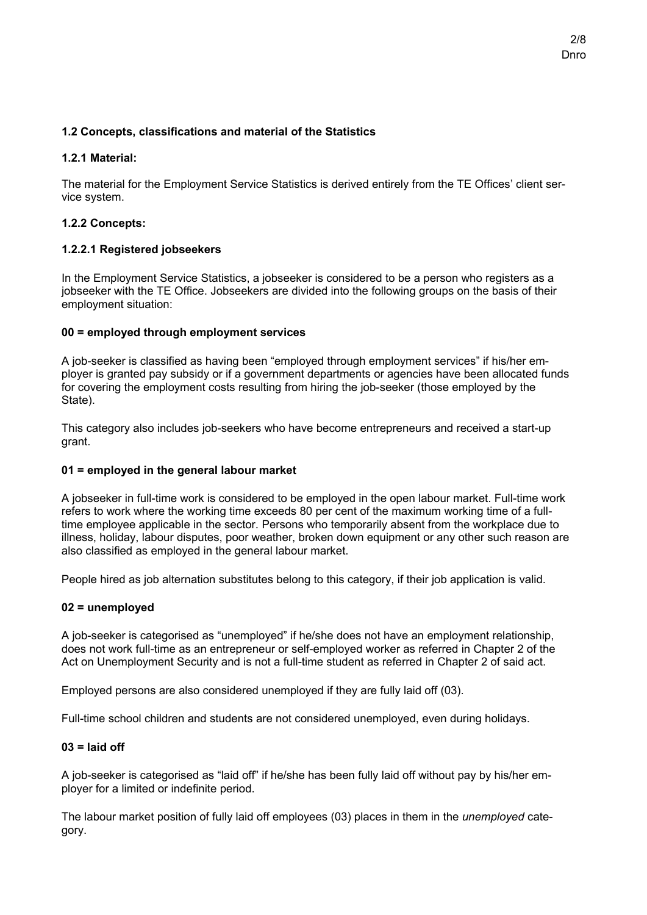# **1.2 Concepts, classifications and material of the Statistics**

# **1.2.1 Material:**

The material for the Employment Service Statistics is derived entirely from the TE Offices' client service system.

# **1.2.2 Concepts:**

# **1.2.2.1 Registered jobseekers**

In the Employment Service Statistics, a jobseeker is considered to be a person who registers as a jobseeker with the TE Office. Jobseekers are divided into the following groups on the basis of their employment situation:

# **00 = employed through employment services**

A job-seeker is classified as having been "employed through employment services" if his/her employer is granted pay subsidy or if a government departments or agencies have been allocated funds for covering the employment costs resulting from hiring the job-seeker (those employed by the State).

This category also includes job-seekers who have become entrepreneurs and received a start-up grant.

#### **01 = employed in the general labour market**

A jobseeker in full-time work is considered to be employed in the open labour market. Full-time work refers to work where the working time exceeds 80 per cent of the maximum working time of a fulltime employee applicable in the sector. Persons who temporarily absent from the workplace due to illness, holiday, labour disputes, poor weather, broken down equipment or any other such reason are also classified as employed in the general labour market.

People hired as job alternation substitutes belong to this category, if their job application is valid.

# **02 = unemployed**

A job-seeker is categorised as "unemployed" if he/she does not have an employment relationship, does not work full-time as an entrepreneur or self-employed worker as referred in Chapter 2 of the Act on Unemployment Security and is not a full-time student as referred in Chapter 2 of said act.

Employed persons are also considered unemployed if they are fully laid off (03).

Full-time school children and students are not considered unemployed, even during holidays.

#### **03 = laid off**

A job-seeker is categorised as "laid off" if he/she has been fully laid off without pay by his/her employer for a limited or indefinite period.

The labour market position of fully laid off employees (03) places in them in the *unemployed* category.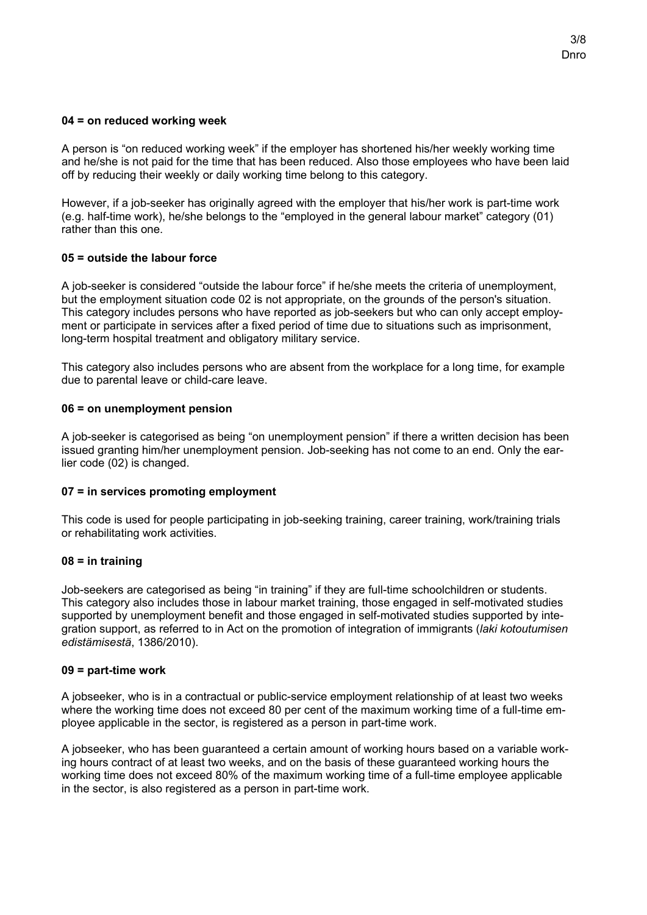#### **04 = on reduced working week**

A person is "on reduced working week" if the employer has shortened his/her weekly working time and he/she is not paid for the time that has been reduced. Also those employees who have been laid off by reducing their weekly or daily working time belong to this category.

However, if a job-seeker has originally agreed with the employer that his/her work is part-time work (e.g. half-time work), he/she belongs to the "employed in the general labour market" category (01) rather than this one.

#### **05 = outside the labour force**

A job-seeker is considered "outside the labour force" if he/she meets the criteria of unemployment, but the employment situation code 02 is not appropriate, on the grounds of the person's situation. This category includes persons who have reported as job-seekers but who can only accept employment or participate in services after a fixed period of time due to situations such as imprisonment, long-term hospital treatment and obligatory military service.

This category also includes persons who are absent from the workplace for a long time, for example due to parental leave or child-care leave.

#### **06 = on unemployment pension**

A job-seeker is categorised as being "on unemployment pension" if there a written decision has been issued granting him/her unemployment pension. Job-seeking has not come to an end. Only the earlier code (02) is changed.

#### **07 = in services promoting employment**

This code is used for people participating in job-seeking training, career training, work/training trials or rehabilitating work activities.

#### **08 = in training**

Job-seekers are categorised as being "in training" if they are full-time schoolchildren or students. This category also includes those in labour market training, those engaged in self-motivated studies supported by unemployment benefit and those engaged in self-motivated studies supported by integration support, as referred to in Act on the promotion of integration of immigrants (*laki kotoutumisen edistämisestä*, 1386/2010).

#### **09 = part-time work**

A jobseeker, who is in a contractual or public-service employment relationship of at least two weeks where the working time does not exceed 80 per cent of the maximum working time of a full-time employee applicable in the sector, is registered as a person in part-time work.

A jobseeker, who has been guaranteed a certain amount of working hours based on a variable working hours contract of at least two weeks, and on the basis of these guaranteed working hours the working time does not exceed 80% of the maximum working time of a full-time employee applicable in the sector, is also registered as a person in part-time work.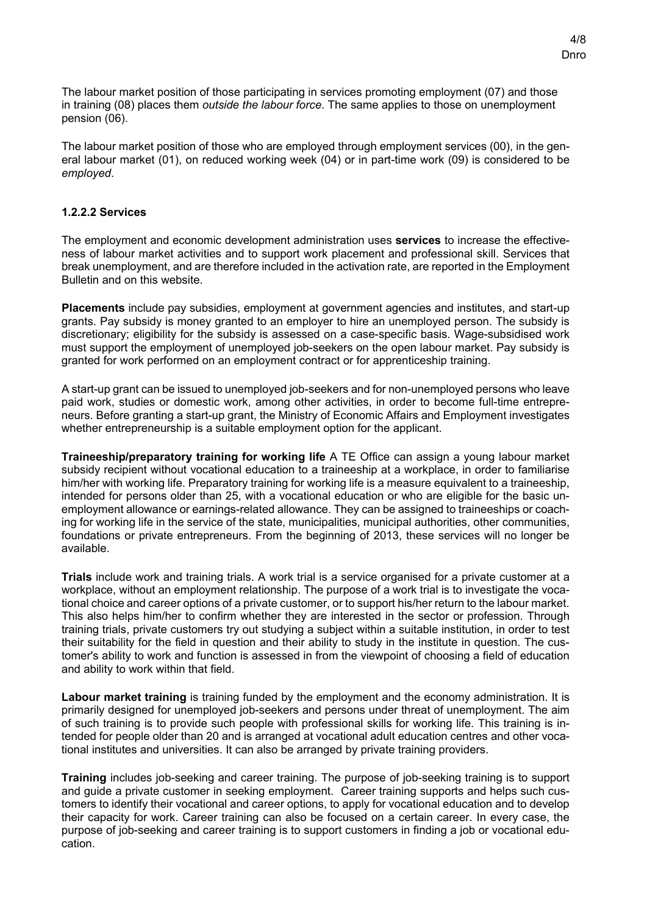The labour market position of those participating in services promoting employment (07) and those in training (08) places them *outside the labour force*. The same applies to those on unemployment pension (06).

The labour market position of those who are employed through employment services (00), in the general labour market (01), on reduced working week (04) or in part-time work (09) is considered to be *employed*.

#### **1.2.2.2 Services**

The employment and economic development administration uses **services** to increase the effectiveness of labour market activities and to support work placement and professional skill. Services that break unemployment, and are therefore included in the activation rate, are reported in the Employment Bulletin and on this website.

**Placements** include pay subsidies, employment at government agencies and institutes, and start-up grants. Pay subsidy is money granted to an employer to hire an unemployed person. The subsidy is discretionary; eligibility for the subsidy is assessed on a case-specific basis. Wage-subsidised work must support the employment of unemployed job-seekers on the open labour market. Pay subsidy is granted for work performed on an employment contract or for apprenticeship training.

A start-up grant can be issued to unemployed job-seekers and for non-unemployed persons who leave paid work, studies or domestic work, among other activities, in order to become full-time entrepreneurs. Before granting a start-up grant, the Ministry of Economic Affairs and Employment investigates whether entrepreneurship is a suitable employment option for the applicant.

**Traineeship/preparatory training for working life** A TE Office can assign a young labour market subsidy recipient without vocational education to a traineeship at a workplace, in order to familiarise him/her with working life. Preparatory training for working life is a measure equivalent to a traineeship, intended for persons older than 25, with a vocational education or who are eligible for the basic unemployment allowance or earnings-related allowance. They can be assigned to traineeships or coaching for working life in the service of the state, municipalities, municipal authorities, other communities, foundations or private entrepreneurs. From the beginning of 2013, these services will no longer be available.

**Trials** include work and training trials. A work trial is a service organised for a private customer at a workplace, without an employment relationship. The purpose of a work trial is to investigate the vocational choice and career options of a private customer, or to support his/her return to the labour market. This also helps him/her to confirm whether they are interested in the sector or profession. Through training trials, private customers try out studying a subject within a suitable institution, in order to test their suitability for the field in question and their ability to study in the institute in question. The customer's ability to work and function is assessed in from the viewpoint of choosing a field of education and ability to work within that field.

**Labour market training** is training funded by the employment and the economy administration. It is primarily designed for unemployed job-seekers and persons under threat of unemployment. The aim of such training is to provide such people with professional skills for working life. This training is intended for people older than 20 and is arranged at vocational adult education centres and other vocational institutes and universities. It can also be arranged by private training providers.

**Training** includes job-seeking and career training. The purpose of job-seeking training is to support and guide a private customer in seeking employment. Career training supports and helps such customers to identify their vocational and career options, to apply for vocational education and to develop their capacity for work. Career training can also be focused on a certain career. In every case, the purpose of job-seeking and career training is to support customers in finding a job or vocational education.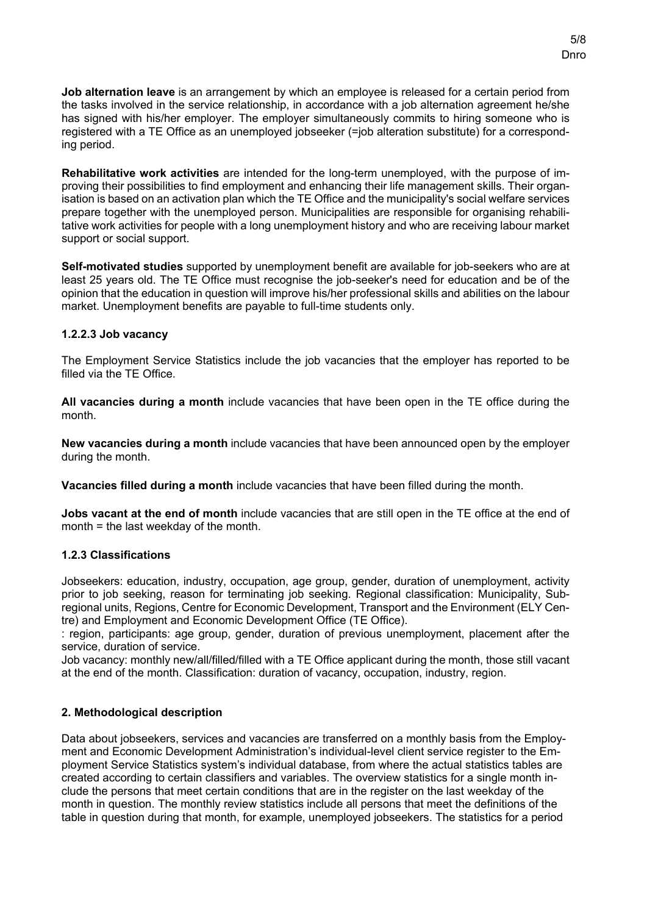**Job alternation leave** is an arrangement by which an employee is released for a certain period from the tasks involved in the service relationship, in accordance with a job alternation agreement he/she has signed with his/her employer. The employer simultaneously commits to hiring someone who is registered with a TE Office as an unemployed jobseeker (=job alteration substitute) for a corresponding period.

**Rehabilitative work activities** are intended for the long-term unemployed, with the purpose of improving their possibilities to find employment and enhancing their life management skills. Their organisation is based on an activation plan which the TE Office and the municipality's social welfare services prepare together with the unemployed person. Municipalities are responsible for organising rehabilitative work activities for people with a long unemployment history and who are receiving labour market support or social support.

**Self-motivated studies** supported by unemployment benefit are available for job-seekers who are at least 25 years old. The TE Office must recognise the job-seeker's need for education and be of the opinion that the education in question will improve his/her professional skills and abilities on the labour market. Unemployment benefits are payable to full-time students only.

# **1.2.2.3 Job vacancy**

The Employment Service Statistics include the job vacancies that the employer has reported to be filled via the TE Office.

**All vacancies during a month** include vacancies that have been open in the TE office during the month.

**New vacancies during a month** include vacancies that have been announced open by the employer during the month.

**Vacancies filled during a month** include vacancies that have been filled during the month.

**Jobs vacant at the end of month** include vacancies that are still open in the TE office at the end of month = the last weekday of the month.

#### **1.2.3 Classifications**

Jobseekers: education, industry, occupation, age group, gender, duration of unemployment, activity prior to job seeking, reason for terminating job seeking. Regional classification: Municipality, Subregional units, Regions, Centre for Economic Development, Transport and the Environment (ELY Centre) and Employment and Economic Development Office (TE Office).

: region, participants: age group, gender, duration of previous unemployment, placement after the service, duration of service.

Job vacancy: monthly new/all/filled/filled with a TE Office applicant during the month, those still vacant at the end of the month. Classification: duration of vacancy, occupation, industry, region.

#### **2. Methodological description**

Data about jobseekers, services and vacancies are transferred on a monthly basis from the Employment and Economic Development Administration's individual-level client service register to the Employment Service Statistics system's individual database, from where the actual statistics tables are created according to certain classifiers and variables. The overview statistics for a single month include the persons that meet certain conditions that are in the register on the last weekday of the month in question. The monthly review statistics include all persons that meet the definitions of the table in question during that month, for example, unemployed jobseekers. The statistics for a period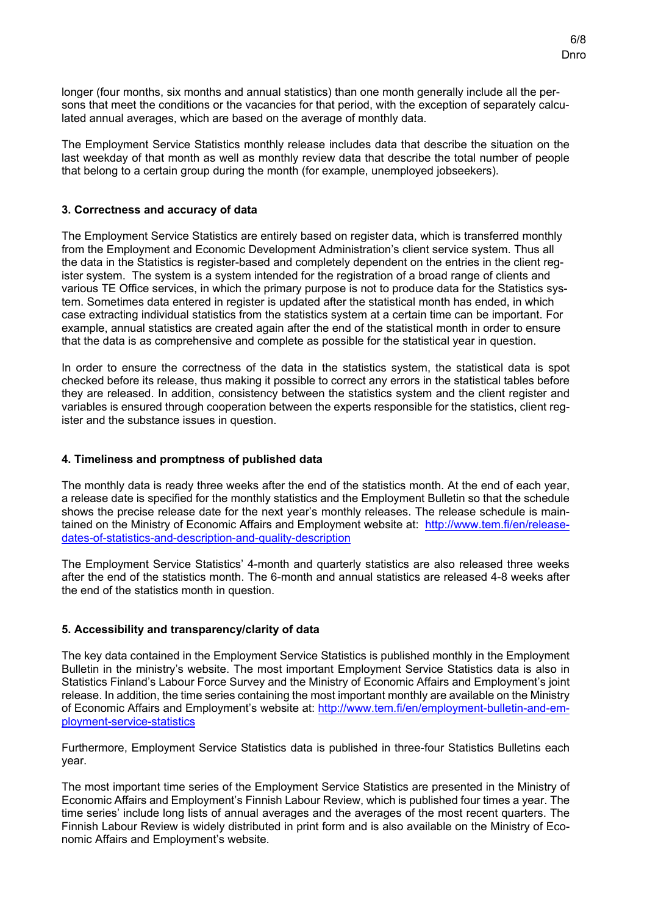longer (four months, six months and annual statistics) than one month generally include all the persons that meet the conditions or the vacancies for that period, with the exception of separately calculated annual averages, which are based on the average of monthly data.

The Employment Service Statistics monthly release includes data that describe the situation on the last weekday of that month as well as monthly review data that describe the total number of people that belong to a certain group during the month (for example, unemployed jobseekers).

### **3. Correctness and accuracy of data**

The Employment Service Statistics are entirely based on register data, which is transferred monthly from the Employment and Economic Development Administration's client service system. Thus all the data in the Statistics is register-based and completely dependent on the entries in the client register system. The system is a system intended for the registration of a broad range of clients and various TE Office services, in which the primary purpose is not to produce data for the Statistics system. Sometimes data entered in register is updated after the statistical month has ended, in which case extracting individual statistics from the statistics system at a certain time can be important. For example, annual statistics are created again after the end of the statistical month in order to ensure that the data is as comprehensive and complete as possible for the statistical year in question.

In order to ensure the correctness of the data in the statistics system, the statistical data is spot checked before its release, thus making it possible to correct any errors in the statistical tables before they are released. In addition, consistency between the statistics system and the client register and variables is ensured through cooperation between the experts responsible for the statistics, client register and the substance issues in question.

### **4. Timeliness and promptness of published data**

The monthly data is ready three weeks after the end of the statistics month. At the end of each year, a release date is specified for the monthly statistics and the Employment Bulletin so that the schedule shows the precise release date for the next year's monthly releases. The release schedule is maintained on the Ministry of Economic Affairs and Employment website at: [http://www.tem.fi/en/release](http://www.tem.fi/en/release-dates-of-statistics-and-description-and-quality-description)[dates-of-statistics-and-description-and-quality-description](http://www.tem.fi/en/release-dates-of-statistics-and-description-and-quality-description)

The Employment Service Statistics' 4-month and quarterly statistics are also released three weeks after the end of the statistics month. The 6-month and annual statistics are released 4-8 weeks after the end of the statistics month in question.

# **5. Accessibility and transparency/clarity of data**

The key data contained in the Employment Service Statistics is published monthly in the Employment Bulletin in the ministry's website. The most important Employment Service Statistics data is also in Statistics Finland's Labour Force Survey and the Ministry of Economic Affairs and Employment's joint release. In addition, the time series containing the most important monthly are available on the Ministry of Economic Affairs and Employment's website at: [http://www.tem.fi/en/employment-bulletin-and-em](http://www.tem.fi/en/employment-bulletin-and-employment-service-statistics)[ployment-service-statistics](http://www.tem.fi/en/employment-bulletin-and-employment-service-statistics)

Furthermore, Employment Service Statistics data is published in three-four Statistics Bulletins each year.

The most important time series of the Employment Service Statistics are presented in the Ministry of Economic Affairs and Employment's Finnish Labour Review, which is published four times a year. The time series' include long lists of annual averages and the averages of the most recent quarters. The Finnish Labour Review is widely distributed in print form and is also available on the Ministry of Economic Affairs and Employment's website.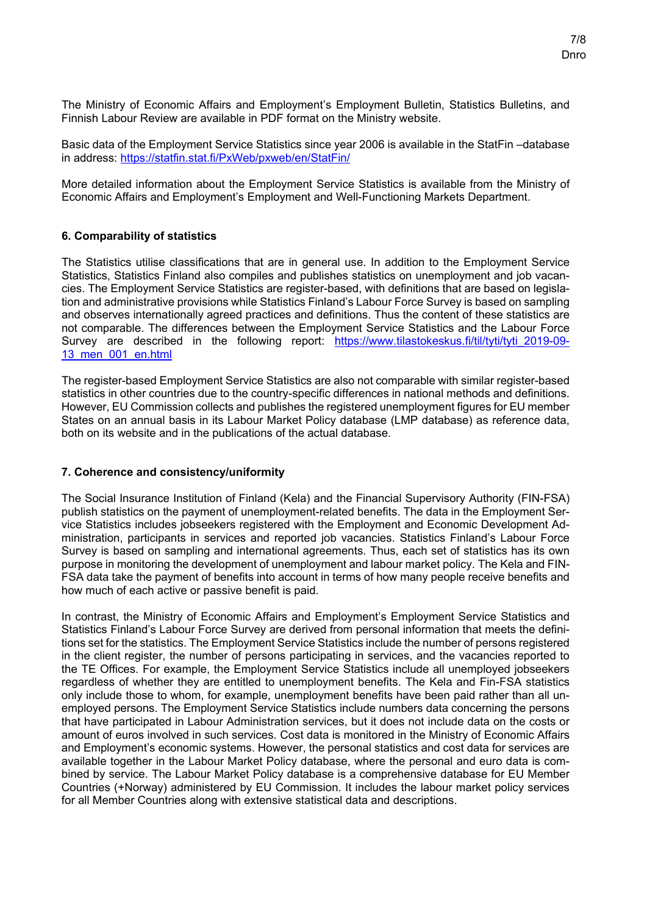The Ministry of Economic Affairs and Employment's Employment Bulletin, Statistics Bulletins, and Finnish Labour Review are available in PDF format on the Ministry website.

Basic data of the Employment Service Statistics since year 2006 is available in the StatFin –database in address:<https://statfin.stat.fi/PxWeb/pxweb/en/StatFin/>

More detailed information about the Employment Service Statistics is available from the Ministry of Economic Affairs and Employment's Employment and Well-Functioning Markets Department.

# **6. Comparability of statistics**

The Statistics utilise classifications that are in general use. In addition to the Employment Service Statistics, Statistics Finland also compiles and publishes statistics on unemployment and job vacancies. The Employment Service Statistics are register-based, with definitions that are based on legislation and administrative provisions while Statistics Finland's Labour Force Survey is based on sampling and observes internationally agreed practices and definitions. Thus the content of these statistics are not comparable. The differences between the Employment Service Statistics and the Labour Force Survey are described in the following report: https://www.tilastokeskus.fi/til/tyti/tyti 2019-09-[13\\_men\\_001\\_en.html](https://www.tilastokeskus.fi/til/tyti/tyti_2019-09-13_men_001_en.html)

The register-based Employment Service Statistics are also not comparable with similar register-based statistics in other countries due to the country-specific differences in national methods and definitions. However, EU Commission collects and publishes the registered unemployment figures for EU member States on an annual basis in its Labour Market Policy database (LMP database) as reference data, both on its website and in the publications of the actual database.

#### **7. Coherence and consistency/uniformity**

The Social Insurance Institution of Finland (Kela) and the Financial Supervisory Authority (FIN-FSA) publish statistics on the payment of unemployment-related benefits. The data in the Employment Service Statistics includes jobseekers registered with the Employment and Economic Development Administration, participants in services and reported job vacancies. Statistics Finland's Labour Force Survey is based on sampling and international agreements. Thus, each set of statistics has its own purpose in monitoring the development of unemployment and labour market policy. The Kela and FIN-FSA data take the payment of benefits into account in terms of how many people receive benefits and how much of each active or passive benefit is paid.

In contrast, the Ministry of Economic Affairs and Employment's Employment Service Statistics and Statistics Finland's Labour Force Survey are derived from personal information that meets the definitions set for the statistics. The Employment Service Statistics include the number of persons registered in the client register, the number of persons participating in services, and the vacancies reported to the TE Offices. For example, the Employment Service Statistics include all unemployed jobseekers regardless of whether they are entitled to unemployment benefits. The Kela and Fin-FSA statistics only include those to whom, for example, unemployment benefits have been paid rather than all unemployed persons. The Employment Service Statistics include numbers data concerning the persons that have participated in Labour Administration services, but it does not include data on the costs or amount of euros involved in such services. Cost data is monitored in the Ministry of Economic Affairs and Employment's economic systems. However, the personal statistics and cost data for services are available together in the Labour Market Policy database, where the personal and euro data is combined by service. The Labour Market Policy database is a comprehensive database for EU Member Countries (+Norway) administered by EU Commission. It includes the labour market policy services for all Member Countries along with extensive statistical data and descriptions.